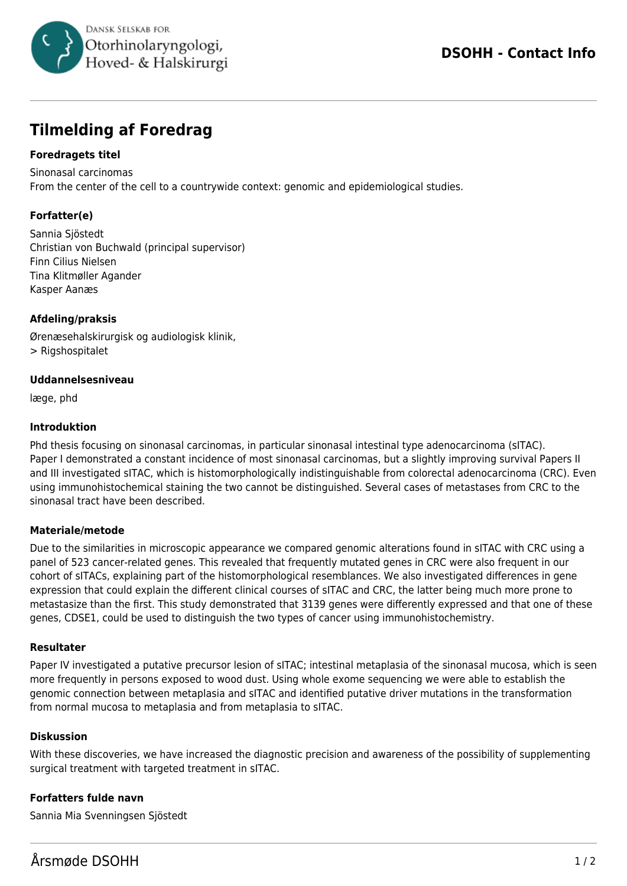

# **Tilmelding af Foredrag**

## **Foredragets titel**

Sinonasal carcinomas From the center of the cell to a countrywide context: genomic and epidemiological studies.

# **Forfatter(e)**

Sannia Sjöstedt Christian von Buchwald (principal supervisor) Finn Cilius Nielsen Tina Klitmøller Agander Kasper Aanæs

## **Afdeling/praksis**

Ørenæsehalskirurgisk og audiologisk klinik, > Rigshospitalet

## **Uddannelsesniveau**

læge, phd

#### **Introduktion**

Phd thesis focusing on sinonasal carcinomas, in particular sinonasal intestinal type adenocarcinoma (sITAC). Paper I demonstrated a constant incidence of most sinonasal carcinomas, but a slightly improving survival Papers II and III investigated sITAC, which is histomorphologically indistinguishable from colorectal adenocarcinoma (CRC). Even using immunohistochemical staining the two cannot be distinguished. Several cases of metastases from CRC to the sinonasal tract have been described.

## **Materiale/metode**

Due to the similarities in microscopic appearance we compared genomic alterations found in sITAC with CRC using a panel of 523 cancer-related genes. This revealed that frequently mutated genes in CRC were also frequent in our cohort of sITACs, explaining part of the histomorphological resemblances. We also investigated differences in gene expression that could explain the different clinical courses of sITAC and CRC, the latter being much more prone to metastasize than the first. This study demonstrated that 3139 genes were differently expressed and that one of these genes, CDSE1, could be used to distinguish the two types of cancer using immunohistochemistry.

#### **Resultater**

Paper IV investigated a putative precursor lesion of sITAC; intestinal metaplasia of the sinonasal mucosa, which is seen more frequently in persons exposed to wood dust. Using whole exome sequencing we were able to establish the genomic connection between metaplasia and sITAC and identified putative driver mutations in the transformation from normal mucosa to metaplasia and from metaplasia to sITAC.

#### **Diskussion**

With these discoveries, we have increased the diagnostic precision and awareness of the possibility of supplementing surgical treatment with targeted treatment in sITAC.

## **Forfatters fulde navn**

Sannia Mia Svenningsen Sjöstedt